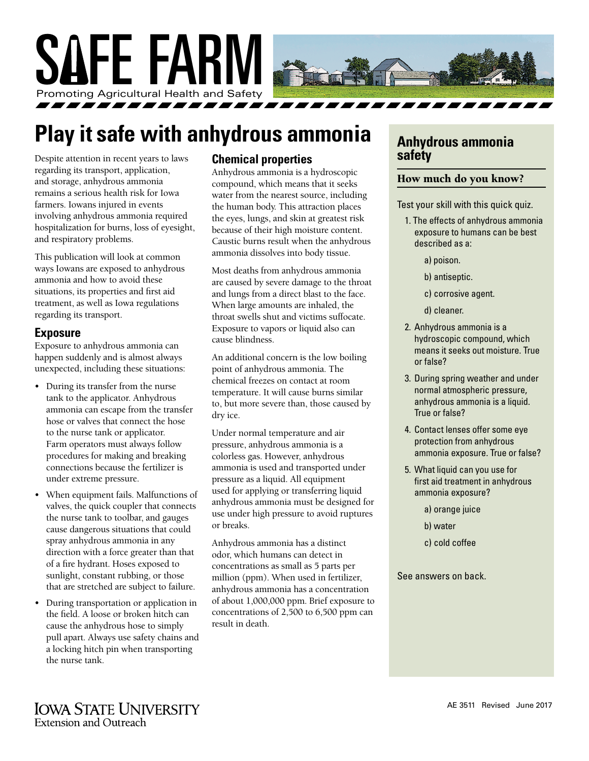

# **Play it safe with anhydrous ammonia**

Despite attention in recent years to laws regarding its transport, application, and storage, anhydrous ammonia remains a serious health risk for Iowa farmers. Iowans injured in events involving anhydrous ammonia required hospitalization for burns, loss of eyesight, and respiratory problems.

This publication will look at common ways Iowans are exposed to anhydrous ammonia and how to avoid these situations, its properties and first aid treatment, as well as Iowa regulations regarding its transport.

#### **Exposure**

Exposure to anhydrous ammonia can happen suddenly and is almost always unexpected, including these situations:

- During its transfer from the nurse tank to the applicator. Anhydrous ammonia can escape from the transfer hose or valves that connect the hose to the nurse tank or applicator. Farm operators must always follow procedures for making and breaking connections because the fertilizer is under extreme pressure.
- When equipment fails. Malfunctions of valves, the quick coupler that connects the nurse tank to toolbar, and gauges cause dangerous situations that could spray anhydrous ammonia in any direction with a force greater than that of a fire hydrant. Hoses exposed to sunlight, constant rubbing, or those that are stretched are subject to failure.
- During transportation or application in the field. A loose or broken hitch can cause the anhydrous hose to simply pull apart. Always use safety chains and a locking hitch pin when transporting the nurse tank.

#### **Chemical properties**

Anhydrous ammonia is a hydroscopic compound, which means that it seeks water from the nearest source, including the human body. This attraction places the eyes, lungs, and skin at greatest risk because of their high moisture content. Caustic burns result when the anhydrous ammonia dissolves into body tissue.

Most deaths from anhydrous ammonia are caused by severe damage to the throat and lungs from a direct blast to the face. When large amounts are inhaled, the throat swells shut and victims suffocate. Exposure to vapors or liquid also can cause blindness.

An additional concern is the low boiling point of anhydrous ammonia. The chemical freezes on contact at room temperature. It will cause burns similar to, but more severe than, those caused by dry ice.

Under normal temperature and air pressure, anhydrous ammonia is a colorless gas. However, anhydrous ammonia is used and transported under pressure as a liquid. All equipment used for applying or transferring liquid anhydrous ammonia must be designed for use under high pressure to avoid ruptures or breaks.

Anhydrous ammonia has a distinct odor, which humans can detect in concentrations as small as 5 parts per million (ppm). When used in fertilizer, anhydrous ammonia has a concentration of about 1,000,000 ppm. Brief exposure to concentrations of 2,500 to 6,500 ppm can result in death.

## **Anhydrous ammonia safety**

#### How much do you know?

Test your skill with this quick quiz.

- 1. The effects of anhydrous ammonia exposure to humans can be best described as a:
	- a) poison.
	- b) antiseptic.
	- c) corrosive agent.
	- d) cleaner.
- 2. Anhydrous ammonia is a hydroscopic compound, which means it seeks out moisture. True or false?
- 3. During spring weather and under normal atmospheric pressure, anhydrous ammonia is a liquid. True or false?
- 4. Contact lenses offer some eye protection from anhydrous ammonia exposure. True or false?
- 5. What liquid can you use for first aid treatment in anhydrous ammonia exposure?
	- a) orange juice
	- b) water
	- c) cold coffee

See answers on back.